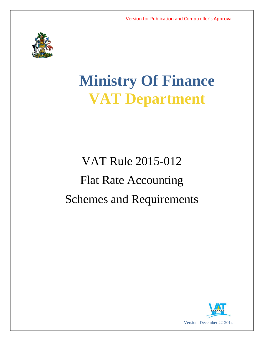

# **Ministry Of Finance VAT Department**

# VAT Rule 2015-012 Flat Rate Accounting Schemes and Requirements

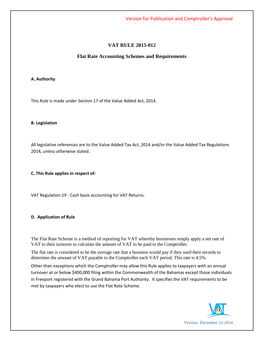Version for Publication and Comptroller's Approval

# **VAT RULE 2015-012**

## **Flat Rate Accounting Schemes and Requirements**

## **A. Authority**

This Rule is made under Section 17 of the Value Added Act, 2014.

#### **B. Legislation**

All legislative references are to the Value Added Tax Act, 2014 and/or the Value Added Tax Regulations 2014, unless otherwise stated.

## **C. This Rule applies in respect of:**

VAT Regulation 19 - Cash basis accounting for VAT Returns.

## **D. Application of Rule**

The Flat Rate Scheme is a method of reporting for VAT whereby businesses simply apply a net rate of VAT to their turnover to calculate the amount of VAT to be paid to the Comptroller.

The flat rate is considered to be the average rate that a business would pay if they used their records to determine the amount of VAT payable to the Comptroller each VAT period. This rate is 4.5%.

Other than exceptions which the Comptroller may allow this Rule applies to taxpayers with an annual turnover at or below \$400,000 filing within the Commonwealth of the Bahamas except those individuals in Freeport registered with the Grand Bahama Port Authority. It specifies the VAT requirements to be met by taxpayers who elect to use the Flat Rate Scheme.